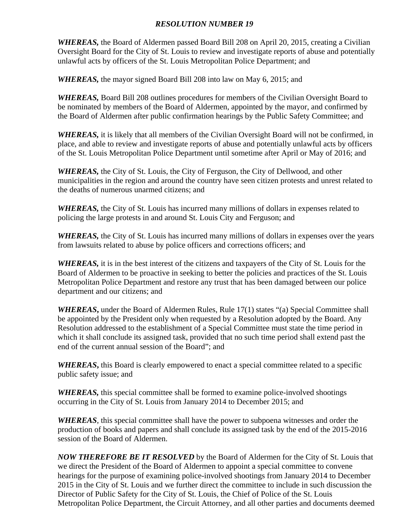## *RESOLUTION NUMBER 19*

*WHEREAS*, the Board of Aldermen passed Board Bill 208 on April 20, 2015, creating a Civilian Oversight Board for the City of St. Louis to review and investigate reports of abuse and potentially unlawful acts by officers of the St. Louis Metropolitan Police Department; and

*WHEREAS,* the mayor signed Board Bill 208 into law on May 6, 2015; and

*WHEREAS,* Board Bill 208 outlines procedures for members of the Civilian Oversight Board to be nominated by members of the Board of Aldermen, appointed by the mayor, and confirmed by the Board of Aldermen after public confirmation hearings by the Public Safety Committee; and

*WHEREAS,* it is likely that all members of the Civilian Oversight Board will not be confirmed, in place, and able to review and investigate reports of abuse and potentially unlawful acts by officers of the St. Louis Metropolitan Police Department until sometime after April or May of 2016; and

*WHEREAS,* the City of St. Louis, the City of Ferguson, the City of Dellwood, and other municipalities in the region and around the country have seen citizen protests and unrest related to the deaths of numerous unarmed citizens; and

*WHEREAS*, the City of St. Louis has incurred many millions of dollars in expenses related to policing the large protests in and around St. Louis City and Ferguson; and

*WHEREAS,* the City of St. Louis has incurred many millions of dollars in expenses over the years from lawsuits related to abuse by police officers and corrections officers; and

*WHEREAS,* it is in the best interest of the citizens and taxpayers of the City of St. Louis for the Board of Aldermen to be proactive in seeking to better the policies and practices of the St. Louis Metropolitan Police Department and restore any trust that has been damaged between our police department and our citizens; and

*WHEREAS***,** under the Board of Aldermen Rules, Rule 17(1) states "(a) Special Committee shall be appointed by the President only when requested by a Resolution adopted by the Board. Any Resolution addressed to the establishment of a Special Committee must state the time period in which it shall conclude its assigned task, provided that no such time period shall extend past the end of the current annual session of the Board"; and

*WHEREAS***,** this Board is clearly empowered to enact a special committee related to a specific public safety issue; and

*WHEREAS,* this special committee shall be formed to examine police-involved shootings occurring in the City of St. Louis from January 2014 to December 2015; and

*WHEREAS*, this special committee shall have the power to subpoena witnesses and order the production of books and papers and shall conclude its assigned task by the end of the 2015-2016 session of the Board of Aldermen.

*NOW THEREFORE BE IT RESOLVED* by the Board of Aldermen for the City of St. Louis that we direct the President of the Board of Aldermen to appoint a special committee to convene hearings for the purpose of examining police-involved shootings from January 2014 to December 2015 in the City of St. Louis and we further direct the committee to include in such discussion the Director of Public Safety for the City of St. Louis, the Chief of Police of the St. Louis Metropolitan Police Department, the Circuit Attorney, and all other parties and documents deemed